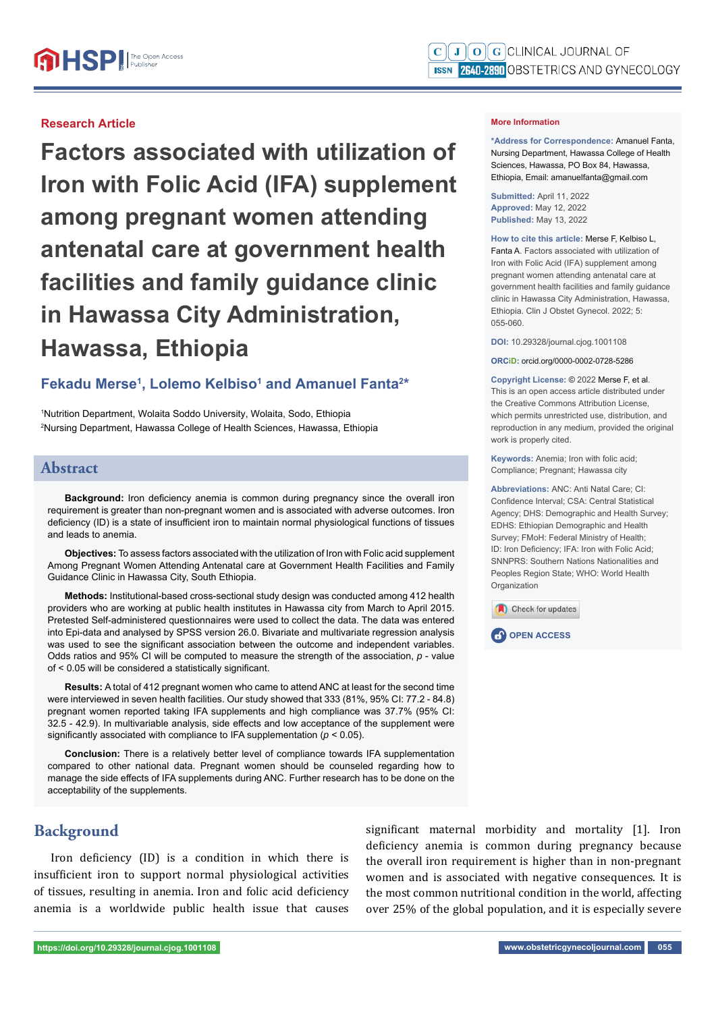#### **Research Article**

**Factors associated with utilization of Iron with Folic Acid (IFA) supplement among pregnant women attending antenatal care at government health facilities and family guidance clinic in Hawassa City Administration, Hawassa, Ethiopia**

### Fekadu Merse<sup>1</sup>, Lolemo Kelbiso<sup>1</sup> and Amanuel Fanta<sup>2\*</sup>

1 Nutrition Department, Wolaita Soddo University, Wolaita, Sodo, Ethiopia 2 Nursing Department, Hawassa College of Health Sciences, Hawassa, Ethiopia

#### **Abstract**

**Background:** Iron deficiency anemia is common during pregnancy since the overall iron requirement is greater than non-pregnant women and is associated with adverse outcomes. Iron deficiency (ID) is a state of insufficient iron to maintain normal physiological functions of tissues and leads to anemia.

**Objectives:** To assess factors associated with the utilization of Iron with Folic acid supplement Among Pregnant Women Attending Antenatal care at Government Health Facilities and Family Guidance Clinic in Hawassa City, South Ethiopia.

**Methods:** Institutional-based cross-sectional study design was conducted among 412 health providers who are working at public health institutes in Hawassa city from March to April 2015. Pretested Self-administered questionnaires were used to collect the data. The data was entered into Epi-data and analysed by SPSS version 26.0. Bivariate and multivariate regression analysis was used to see the significant association between the outcome and independent variables. Odds ratios and 95% CI will be computed to measure the strength of the association, *p* - value of  $< 0.05$  will be considered a statistically significant.

**Results:** A total of 412 pregnant women who came to attend ANC at least for the second time were interviewed in seven health facilities. Our study showed that 333 (81%, 95% CI: 77.2 - 84.8) pregnant women reported taking IFA supplements and high compliance was 37.7% (95% CI: 32.5 - 42.9). In multivariable analysis, side effects and low acceptance of the supplement were significantly associated with compliance to IFA supplementation ( $p < 0.05$ ).

**Conclusion:** There is a relatively better level of compliance towards IFA supplementation compared to other national data. Pregnant women should be counseled regarding how to manage the side effects of IFA supplements during ANC. Further research has to be done on the acceptability of the supplements.

### **Background**

Iron deficiency (ID) is a condition in which there is insufficient iron to support normal physiological activities of tissues, resulting in anemia. Iron and folic acid deficiency anemia is a worldwide public health issue that causes significant maternal morbidity and mortality [1]. Iron deficiency anemia is common during pregnancy because the overall iron requirement is higher than in non-pregnant women and is associated with negative consequences. It is the most common nutritional condition in the world, affecting over 25% of the global population, and it is especially severe

#### **More Information**

**\*Address for Correspondence:** Amanuel Fanta, Nursing Department, Hawassa College of Health Sciences, Hawassa, PO Box 84, Hawassa, Ethiopia, Email: amanuelfanta@gmail.com

**Submitted:** April 11, 2022 **Approved:** May 12, 2022 **Published:** May 13, 2022

**How to cite this article:** Merse F, Kelbiso L, Fanta A. Factors associated with utilization of Iron with Folic Acid (IFA) supplement among pregnant women attending antenatal care at government health facilities and family guidance clinic in Hawassa City Administration, Hawassa, Ethiopia. Clin J Obstet Gynecol. 2022; 5: 055-060.

**DOI:** 10.29328/journal.cjog.1001108

**ORCiD:** orcid.org/0000-0002-0728-5286

**Copyright License: ©** 2022 Merse F, et al. This is an open access article distributed under the Creative Commons Attribution License, which permits unrestricted use, distribution, and reproduction in any medium, provided the original work is properly cited.

**Keywords:** Anemia; Iron with folic acid; Compliance; Pregnant; Hawassa city

**Abbreviations:** ANC: Anti Natal Care; CI: Confidence Interval: CSA: Central Statistical Agency; DHS: Demographic and Health Survey; EDHS: Ethiopian Demographic and Health Survey; FMoH: Federal Ministry of Health; ID: Iron Deficiency; IFA: Iron with Folic Acid; SNNPRS: Southern Nations Nationalities and Peoples Region State; WHO: World Health **Organization** 



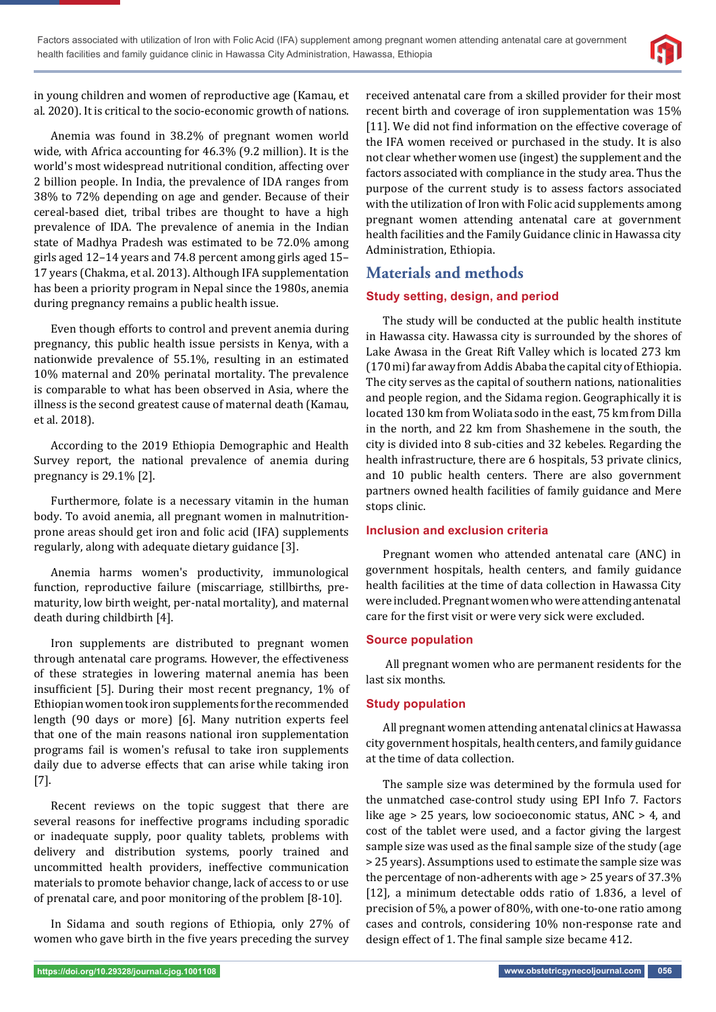

in young children and women of reproductive age (Kamau, et al. 2020). It is critical to the socio-economic growth of nations.

Anemia was found in 38.2% of pregnant women world wide, with Africa accounting for 46.3% (9.2 million). It is the world's most widespread nutritional condition, affecting over 2 billion people. In India, the prevalence of IDA ranges from 38% to 72% depending on age and gender. Because of their cereal-based diet, tribal tribes are thought to have a high prevalence of IDA. The prevalence of anemia in the Indian state of Madhya Pradesh was estimated to be 72.0% among girls aged 12–14 years and 74.8 percent among girls aged 15– 17 years (Chakma, et al. 2013). Although IFA supplementation has been a priority program in Nepal since the 1980s, anemia during pregnancy remains a public health issue.

Even though efforts to control and prevent anemia during pregnancy, this public health issue persists in Kenya, with a nationwide prevalence of 55.1%, resulting in an estimated 10% maternal and 20% perinatal mortality. The prevalence is comparable to what has been observed in Asia, where the illness is the second greatest cause of maternal death (Kamau, et al. 2018).

According to the 2019 Ethiopia Demographic and Health Survey report, the national prevalence of anemia during pregnancy is 29.1% [2].

Furthermore, folate is a necessary vitamin in the human body. To avoid anemia, all pregnant women in malnutritionprone areas should get iron and folic acid (IFA) supplements regularly, along with adequate dietary guidance [3].

Anemia harms women's productivity, immunological function, reproductive failure (miscarriage, stillbirths, prematurity, low birth weight, per-natal mortality), and maternal death during childbirth [4].

Iron supplements are distributed to pregnant women through antenatal care programs. However, the effectiveness of these strategies in lowering maternal anemia has been insufficient [5]. During their most recent pregnancy,  $1\%$  of Ethiopian women took iron supplements for the recommended length (90 days or more) [6]. Many nutrition experts feel that one of the main reasons national iron supplementation programs fail is women's refusal to take iron supplements daily due to adverse effects that can arise while taking iron [7].

Recent reviews on the topic suggest that there are several reasons for ineffective programs including sporadic or inadequate supply, poor quality tablets, problems with delivery and distribution systems, poorly trained and uncommitted health providers, ineffective communication materials to promote behavior change, lack of access to or use of prenatal care, and poor monitoring of the problem [8-10].

In Sidama and south regions of Ethiopia, only 27% of women who gave birth in the five years preceding the survey

received antenatal care from a skilled provider for their most recent birth and coverage of iron supplementation was 15% [11]. We did not find information on the effective coverage of the IFA women received or purchased in the study. It is also not clear whether women use (ingest) the supplement and the factors associated with compliance in the study area. Thus the purpose of the current study is to assess factors associated with the utilization of Iron with Folic acid supplements among pregnant women attending antenatal care at government health facilities and the Family Guidance clinic in Hawassa city Administration, Ethiopia.

# **Materials and methods**

### **Study setting, design, and period**

The study will be conducted at the public health institute in Hawassa city. Hawassa city is surrounded by the shores of Lake Awasa in the Great Rift Valley which is located 273 km (170 mi) far away from Addis Ababa the capital city of Ethiopia. The city serves as the capital of southern nations, nationalities and people region, and the Sidama region. Geographically it is located 130 km from Woliata sodo in the east, 75 km from Dilla in the north, and 22 km from Shashemene in the south, the city is divided into 8 sub-cities and 32 kebeles. Regarding the health infrastructure, there are 6 hospitals, 53 private clinics, and 10 public health centers. There are also government partners owned health facilities of family guidance and Mere stops clinic.

### **Inclusion and exclusion criteria**

Pregnant women who attended antenatal care (ANC) in government hospitals, health centers, and family guidance health facilities at the time of data collection in Hawassa City were included. Pregnant women who were attending antenatal care for the first visit or were very sick were excluded.

### **Source population**

 All pregnant women who are permanent residents for the last six months.

### **Study population**

All pregnant women attending antenatal clinics at Hawassa city government hospitals, health centers, and family guidance at the time of data collection.

The sample size was determined by the formula used for the unmatched case-control study using EPI Info 7. Factors like age > 25 years, low socioeconomic status, ANC > 4, and cost of the tablet were used, and a factor giving the largest sample size was used as the final sample size of the study (age > 25 years). Assumptions used to estimate the sample size was the percentage of non-adherents with age > 25 years of 37.3% [12], a minimum detectable odds ratio of 1.836, a level of precision of 5%, a power of 80%, with one-to-one ratio among cases and controls, considering 10% non-response rate and design effect of 1. The final sample size became 412.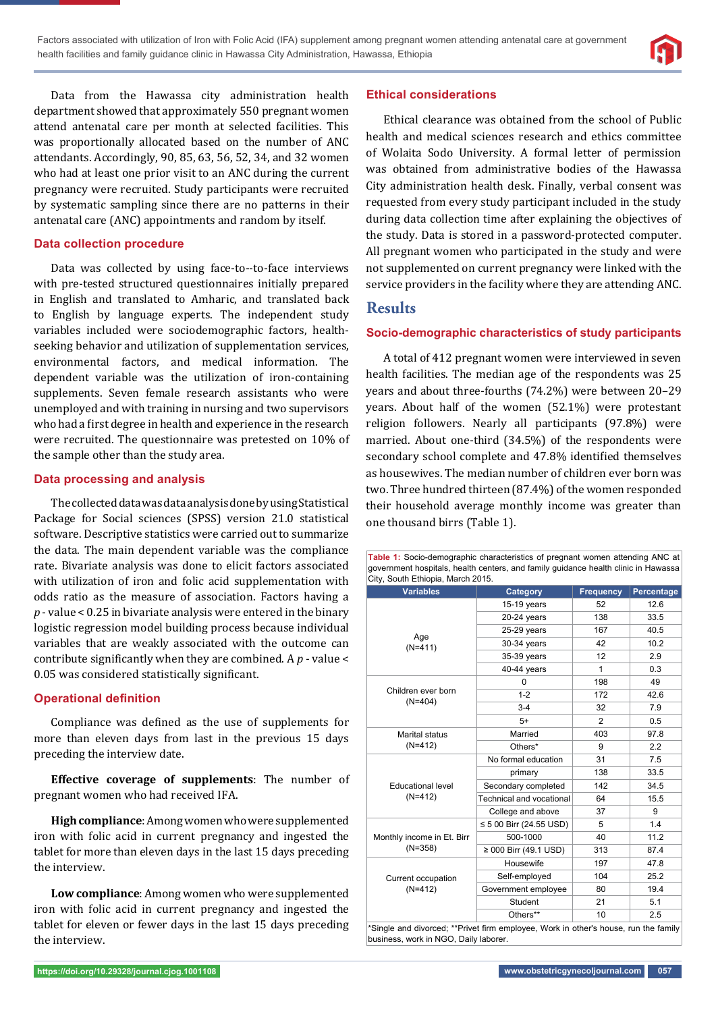

Data from the Hawassa city administration health department showed that approximately 550 pregnant women attend antenatal care per month at selected facilities. This was proportionally allocated based on the number of ANC attendants. Accordingly, 90, 85, 63, 56, 52, 34, and 32 women who had at least one prior visit to an ANC during the current pregnancy were recruited. Study participants were recruited by systematic sampling since there are no patterns in their antenatal care (ANC) appointments and random by itself.

### **Data collection procedure**

Data was collected by using face-to--to-face interviews with pre-tested structured questionnaires initially prepared in English and translated to Amharic, and translated back to English by language experts. The independent study variables included were sociodemographic factors, healthseeking behavior and utilization of supplementation services, environmental factors, and medical information. The dependent variable was the utilization of iron-containing supplements. Seven female research assistants who were unemployed and with training in nursing and two supervisors who had a first degree in health and experience in the research were recruited. The questionnaire was pretested on 10% of the sample other than the study area.

### **Data processing and analysis**

The collected data was data analysis done by using Statistical Package for Social sciences (SPSS) version 21.0 statistical software. Descriptive statistics were carried out to summarize the data. The main dependent variable was the compliance rate. Bivariate analysis was done to elicit factors associated with utilization of iron and folic acid supplementation with odds ratio as the measure of association. Factors having a *p* - value < 0.25 in bivariate analysis were entered in the binary logistic regression model building process because individual variables that are weakly associated with the outcome can contribute significantly when they are combined. A  $p$  - value < 0.05 was considered statistically significant.

### **Operational definition**

Compliance was defined as the use of supplements for more than eleven days from last in the previous 15 days preceding the interview date.

**Effective coverage of supplements**: The number of pregnant women who had received IFA.

**High compliance**: Among women who were supplemented iron with folic acid in current pregnancy and ingested the tablet for more than eleven days in the last 15 days preceding the interview.

**Low compliance**: Among women who were supplemented iron with folic acid in current pregnancy and ingested the tablet for eleven or fewer days in the last 15 days preceding the interview.

#### **Ethical considerations**

Ethical clearance was obtained from the school of Public health and medical sciences research and ethics committee of Wolaita Sodo University. A formal letter of permission was obtained from administrative bodies of the Hawassa City administration health desk. Finally, verbal consent was requested from every study participant included in the study during data collection time after explaining the objectives of the study. Data is stored in a password-protected computer. All pregnant women who participated in the study and were not supplemented on current pregnancy were linked with the service providers in the facility where they are attending ANC.

## **Results**

### **Socio-demographic characteristics of study participants**

A total of 412 pregnant women were interviewed in seven health facilities. The median age of the respondents was 25 years and about three-fourths (74.2%) were between 20–29 years. About half of the women (52.1%) were protestant religion followers. Nearly all participants (97.8%) were married. About one-third (34.5%) of the respondents were secondary school complete and 47.8% identified themselves as housewives. The median number of children ever born was two. Three hundred thirteen (87.4%) of the women responded their household average monthly income was greater than one thousand birrs (Table 1).

**Table 1:** Socio-demographic characteristics of pregnant women attending ANC at government hospitals, health centers, and family guidance health clinic in Hawassa

| <b>Variables</b>                      | Category                   | <b>Frequency</b> | Percentage |  |
|---------------------------------------|----------------------------|------------------|------------|--|
|                                       | $15-19$ years              | 52               | 12.6       |  |
|                                       | $20-24$ years              | 138              | 33.5       |  |
| Age                                   | $25-29$ years              | 167              | 40.5       |  |
| $(N=411)$                             | 30-34 years                | 42               | 10.2       |  |
|                                       | 35-39 years                | 12               | 2.9        |  |
|                                       | 40-44 years                | 1                | 0.3        |  |
| Children ever born<br>$(N=404)$       | $\Omega$                   | 198              | 49         |  |
|                                       | $1 - 2$                    | 172              | 42.6       |  |
|                                       | $3 - 4$                    | 32               | 7.9        |  |
|                                       | $5+$                       | 2                | 0.5        |  |
| Marital status<br>$(N=412)$           | Married                    | 403              | 97.8       |  |
|                                       | Others*                    | 9                | 2.2        |  |
| <b>Educational level</b><br>$(N=412)$ | No formal education        | 31               | 7.5        |  |
|                                       | primary                    | 138              | 33.5       |  |
|                                       | Secondary completed        | 142              | 34.5       |  |
|                                       | Technical and vocational   | 64               | 15.5       |  |
|                                       | College and above          | 37               | 9          |  |
|                                       | ≤ 5 00 Birr (24.55 USD)    | 5                | 1.4        |  |
| Monthly income in Et. Birr            | 500-1000                   | 40               | 11.2       |  |
| $(N=358)$                             | $\geq$ 000 Birr (49.1 USD) | 313              | 87.4       |  |
| Current occupation<br>$(N=412)$       | Housewife                  | 197              | 47.8       |  |
|                                       | Self-employed              | 104              | 25.2       |  |
|                                       | Government employee        | 80               | 19.4       |  |
|                                       | Student                    | 21               | 5.1        |  |
|                                       | Others**                   | 10               | 2.5        |  |

\*Single and divorced; \*\*Privet firm employee, Work in other's house, run the family business, work in NGO, Daily laborer.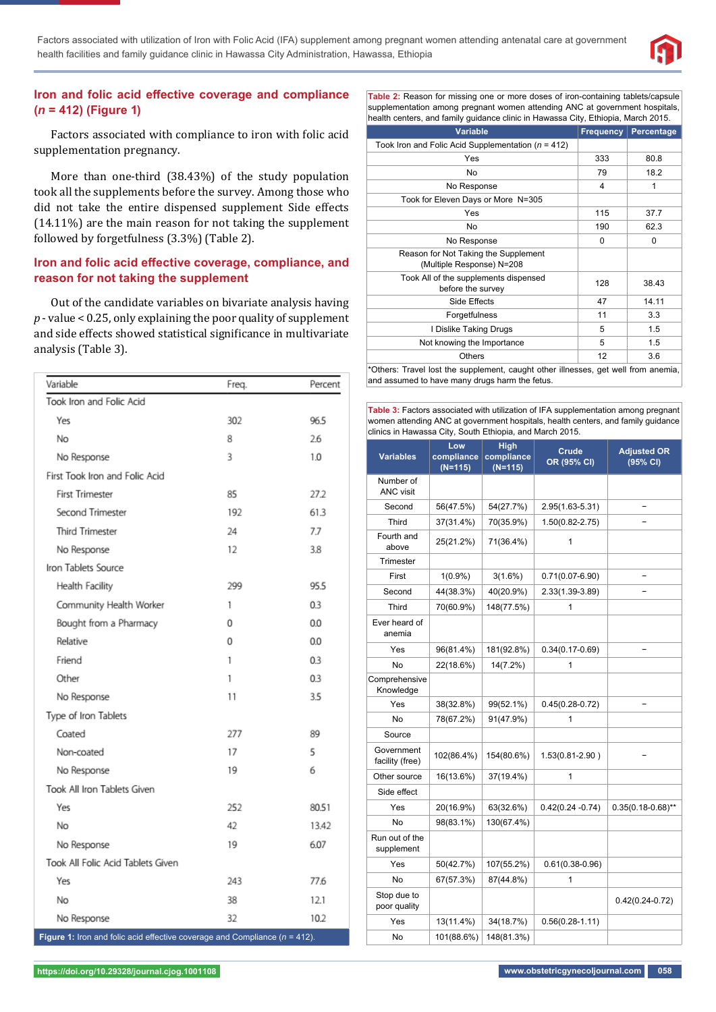

#### **Iron and folic acid effective coverage and compliance (***n* **= 412) (Figure 1)**

Factors associated with compliance to iron with folic acid supplementation pregnancy.

More than one-third (38.43%) of the study population took all the supplements before the survey. Among those who did not take the entire dispensed supplement Side effects (14.11%) are the main reason for not taking the supplement followed by forgetfulness (3.3%) (Table 2).

#### **Iron and folic acid effective coverage, compliance, and reason for not taking the supplement**

Out of the candidate variables on bivariate analysis having *p* - value < 0.25, only explaining the poor quality of supplement and side effects showed statistical significance in multivariate analysis (Table 3).

| Variable                                                                      | Freq. | Percent |
|-------------------------------------------------------------------------------|-------|---------|
| Took Iron and Folic Acid                                                      |       |         |
| Yes                                                                           | 302   | 96.5    |
| No                                                                            | 8     | 26      |
| No Response                                                                   | 3     | 1.0     |
| First Took Iron and Folic Acid                                                |       |         |
| <b>First Trimester</b>                                                        | 85    | 27.2    |
| Second Trimester                                                              | 192   | 61.3    |
| Third Trimester                                                               | 24    | 7.7     |
| No Response                                                                   | 12    | 3.8     |
| Iron Tablets Source                                                           |       |         |
| Health Facility                                                               | 299   | 95.5    |
| Community Health Worker                                                       | 1     | 0.3     |
| Bought from a Pharmacy                                                        | 0     | 0.0     |
| Relative                                                                      | 0     | 0.0     |
| Friend                                                                        | 1     | 0.3     |
| Other                                                                         | 1     | 0.3     |
| No Response                                                                   | 11    | 3.5     |
| Type of Iron Tablets                                                          |       |         |
| Coated                                                                        | 277   | 89      |
| Non-coated                                                                    | 17    | 5       |
| No Response                                                                   | 19    | 6       |
| Took All Iron Tablets Given                                                   |       |         |
| Yes                                                                           | 252   | 80.51   |
| No                                                                            | 42    | 13.42   |
| No Response                                                                   | 19    | 6.07    |
| Took All Folic Acid Tablets Given                                             |       |         |
| Yes                                                                           | 243   | 77.6    |
| No                                                                            | 38    | 12.1    |
| No Response                                                                   | 32    | 10.2    |
| Figure 1: Iron and folic acid effective coverage and Compliance $(n = 412)$ . |       |         |

**Table 2:** Reason for missing one or more doses of iron-containing tablets/capsule supplementation among pregnant women attending ANC at government hospitals, health centers, and family guidance clinic in Hawassa City, Ethiopia, March 2015.

| $\alpha$ . The contract of the set of the contract of the contract of $\alpha$ , $\alpha$ is the contract of $\alpha$ .              |                  |            |  |  |  |
|--------------------------------------------------------------------------------------------------------------------------------------|------------------|------------|--|--|--|
| <b>Variable</b>                                                                                                                      | <b>Frequency</b> | Percentage |  |  |  |
| Took Iron and Folic Acid Supplementation ( $n = 412$ )                                                                               |                  |            |  |  |  |
| Yes                                                                                                                                  | 333              | 80.8       |  |  |  |
| No                                                                                                                                   | 79               | 18.2       |  |  |  |
| No Response                                                                                                                          | 4                | 1          |  |  |  |
| Took for Eleven Days or More N=305                                                                                                   |                  |            |  |  |  |
| Yes                                                                                                                                  | 115              | 37.7       |  |  |  |
| No                                                                                                                                   | 190              | 62.3       |  |  |  |
| No Response                                                                                                                          | $\Omega$         | $\Omega$   |  |  |  |
| Reason for Not Taking the Supplement<br>(Multiple Response) N=208                                                                    |                  |            |  |  |  |
| Took All of the supplements dispensed<br>before the survey                                                                           | 128              | 38.43      |  |  |  |
| Side Effects                                                                                                                         | 47               | 14.11      |  |  |  |
| Forgetfulness                                                                                                                        | 11               | 3.3        |  |  |  |
| I Dislike Taking Drugs                                                                                                               | 5                | 1.5        |  |  |  |
| Not knowing the Importance                                                                                                           | 5                | 1.5        |  |  |  |
| <b>Others</b>                                                                                                                        | 12               | 3.6        |  |  |  |
| *Others: Travel lost the supplement, caught other illnesses, get well from anemia,<br>and assumed to have many drugs harm the fetus. |                  |            |  |  |  |

**Table 3:** Factors associated with utilization of IFA supplementation among pregnant women attending ANC at government hospitals, health centers, and family guidance clinics in Hawassa City, South Ethiopia, and March 2015.

| <b>Variables</b>              | Low<br>compliance<br>$(N=115)$ | High<br>compliance<br>$(N=115)$ | <b>Crude</b><br>OR (95% CI) | <b>Adjusted OR</b><br>(95% CI) |
|-------------------------------|--------------------------------|---------------------------------|-----------------------------|--------------------------------|
| Number of<br><b>ANC visit</b> |                                |                                 |                             |                                |
| Second                        | 56(47.5%)                      | 54(27.7%)                       | 2.95(1.63-5.31)             |                                |
| Third                         | 37(31.4%)                      | 70(35.9%)                       | $1.50(0.82 - 2.75)$         |                                |
| Fourth and<br>above           | 25(21.2%)                      | 71(36.4%)                       | 1                           |                                |
| Trimester                     |                                |                                 |                             |                                |
| First                         | $1(0.9\%)$                     | 3(1.6%)                         | $0.71(0.07 - 6.90)$         |                                |
| Second                        | 44(38.3%)                      | 40(20.9%)                       | 2.33(1.39-3.89)             |                                |
| Third                         | 70(60.9%)                      | 148(77.5%)                      | 1                           |                                |
| Ever heard of<br>anemia       |                                |                                 |                             |                                |
| Yes                           | 96(81.4%)                      | 181(92.8%)                      | $0.34(0.17 - 0.69)$         |                                |
| <b>No</b>                     | 22(18.6%)                      | 14(7.2%)                        | 1                           |                                |
| Comprehensive<br>Knowledge    |                                |                                 |                             |                                |
| Yes                           | 38(32.8%)                      | 99(52.1%)                       | $0.45(0.28 - 0.72)$         |                                |
| No                            | 78(67.2%)                      | 91(47.9%)                       | 1                           |                                |
| Source                        |                                |                                 |                             |                                |
| Government<br>facility (free) | 102(86.4%)                     | 154(80.6%)                      | 1.53(0.81-2.90)             |                                |
| Other source                  | 16(13.6%)                      | 37(19.4%)                       | 1                           |                                |
| Side effect                   |                                |                                 |                             |                                |
| Yes                           | 20(16.9%)                      | 63(32.6%)                       | $0.42(0.24 - 0.74)$         | $0.35(0.18 - 0.68)$ **         |
| No                            | 98(83.1%)                      | 130(67.4%)                      |                             |                                |
| Run out of the<br>supplement  |                                |                                 |                             |                                |
| Yes                           | 50(42.7%)                      | 107(55.2%)                      | $0.61(0.38 - 0.96)$         |                                |
| No                            | 67(57.3%)                      | 87(44.8%)                       | 1                           |                                |
| Stop due to<br>poor quality   |                                |                                 |                             | $0.42(0.24 - 0.72)$            |
| Yes                           | 13(11.4%)                      | 34(18.7%)                       | $0.56(0.28 - 1.11)$         |                                |
| No                            | 101(88.6%)                     | 148(81.3%)                      |                             |                                |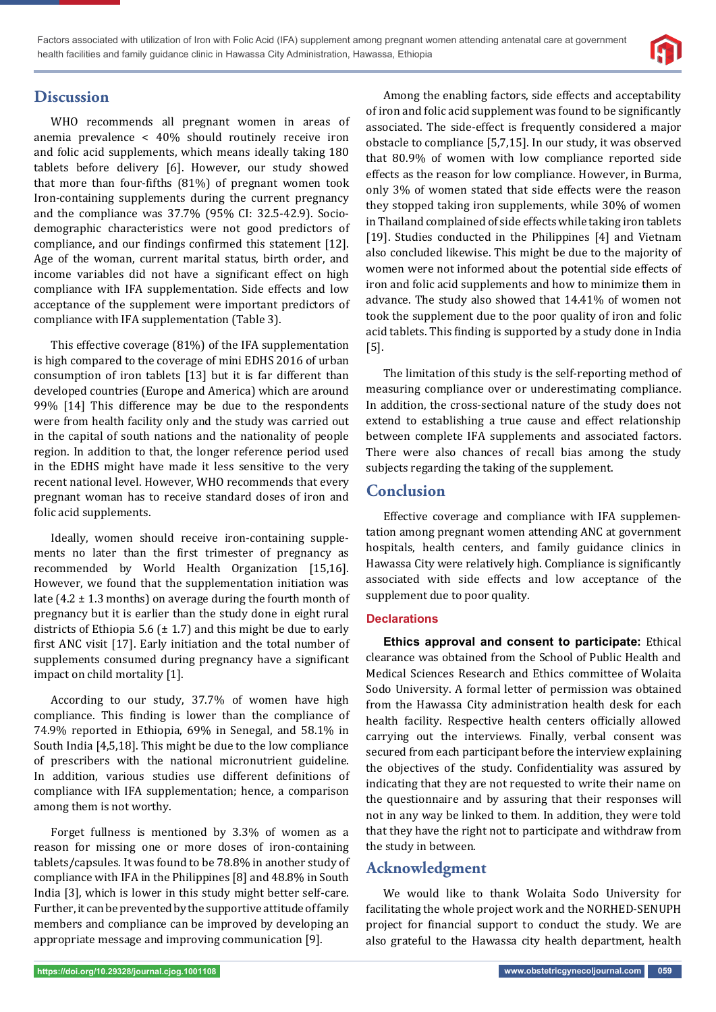

# **Discussion**

WHO recommends all pregnant women in areas of anemia prevalence < 40% should routinely receive iron and folic acid supplements, which means ideally taking 180 tablets before delivery [6]. However, our study showed that more than four-fifths  $(81%)$  of pregnant women took Iron-containing supplements during the current pregnancy and the compliance was 37.7% (95% CI: 32.5-42.9). Sociodemographic characteristics were not good predictors of compliance, and our findings confirmed this statement [12]. Age of the woman, current marital status, birth order, and income variables did not have a significant effect on high compliance with IFA supplementation. Side effects and low acceptance of the supplement were important predictors of compliance with IFA supplementation (Table 3).

This effective coverage (81%) of the IFA supplementation is high compared to the coverage of mini EDHS 2016 of urban consumption of iron tablets [13] but it is far different than developed countries (Europe and America) which are around 99% [14] This difference may be due to the respondents were from health facility only and the study was carried out in the capital of south nations and the nationality of people region. In addition to that, the longer reference period used in the EDHS might have made it less sensitive to the very recent national level. However, WHO recommends that every pregnant woman has to receive standard doses of iron and folic acid supplements.

Ideally, women should receive iron-containing supplements no later than the first trimester of pregnancy as recommended by World Health Organization [15,16]. However, we found that the supplementation initiation was late  $(4.2 \pm 1.3 \text{ months})$  on average during the fourth month of pregnancy but it is earlier than the study done in eight rural districts of Ethiopia 5.6 ( $\pm$  1.7) and this might be due to early first ANC visit [17]. Early initiation and the total number of supplements consumed during pregnancy have a significant impact on child mortality [1].

According to our study, 37.7% of women have high compliance. This finding is lower than the compliance of 74.9% reported in Ethiopia, 69% in Senegal, and 58.1% in South India [4,5,18]. This might be due to the low compliance of prescribers with the national micronutrient guideline. In addition, various studies use different definitions of compliance with IFA supplementation; hence, a comparison among them is not worthy.

Forget fullness is mentioned by 3.3% of women as a reason for missing one or more doses of iron-containing tablets/capsules. It was found to be 78.8% in another study of compliance with IFA in the Philippines [8] and 48.8% in South India [3], which is lower in this study might better self-care. Further, it can be prevented by the supportive attitude of family members and compliance can be improved by developing an appropriate message and improving communication [9].

Among the enabling factors, side effects and acceptability of iron and folic acid supplement was found to be significantly associated. The side-effect is frequently considered a major obstacle to compliance [5,7,15]. In our study, it was observed that 80.9% of women with low compliance reported side effects as the reason for low compliance. However, in Burma, only 3% of women stated that side effects were the reason they stopped taking iron supplements, while 30% of women in Thailand complained of side effects while taking iron tablets [19]. Studies conducted in the Philippines [4] and Vietnam also concluded likewise. This might be due to the majority of women were not informed about the potential side effects of iron and folic acid supplements and how to minimize them in advance. The study also showed that 14.41% of women not took the supplement due to the poor quality of iron and folic acid tablets. This finding is supported by a study done in India [5].

The limitation of this study is the self-reporting method of measuring compliance over or underestimating compliance. In addition, the cross-sectional nature of the study does not extend to establishing a true cause and effect relationship between complete IFA supplements and associated factors. There were also chances of recall bias among the study subjects regarding the taking of the supplement.

### **Conclusion**

Effective coverage and compliance with IFA supplementation among pregnant women attending ANC at government hospitals, health centers, and family guidance clinics in Hawassa City were relatively high. Compliance is significantly associated with side effects and low acceptance of the supplement due to poor quality.

#### **Declarations**

**Ethics approval and consent to participate:** Ethical clearance was obtained from the School of Public Health and Medical Sciences Research and Ethics committee of Wolaita Sodo University. A formal letter of permission was obtained from the Hawassa City administration health desk for each health facility. Respective health centers officially allowed carrying out the interviews. Finally, verbal consent was secured from each participant before the interview explaining the objectives of the study. Confidentiality was assured by indicating that they are not requested to write their name on the questionnaire and by assuring that their responses will not in any way be linked to them. In addition, they were told that they have the right not to participate and withdraw from the study in between.

### **Acknowledgment**

We would like to thank Wolaita Sodo University for facilitating the whole project work and the NORHED-SENUPH project for financial support to conduct the study. We are also grateful to the Hawassa city health department, health